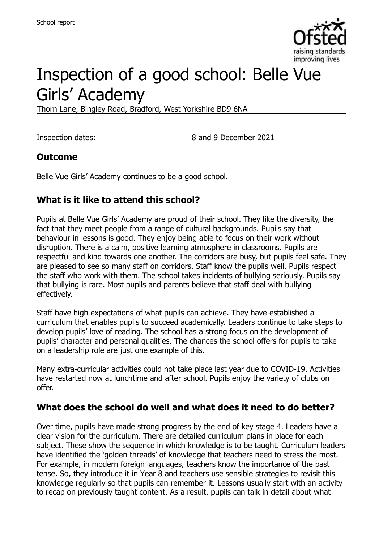

# Inspection of a good school: Belle Vue Girls' Academy

Thorn Lane, Bingley Road, Bradford, West Yorkshire BD9 6NA

Inspection dates: 8 and 9 December 2021

#### **Outcome**

Belle Vue Girls' Academy continues to be a good school.

### **What is it like to attend this school?**

Pupils at Belle Vue Girls' Academy are proud of their school. They like the diversity, the fact that they meet people from a range of cultural backgrounds. Pupils say that behaviour in lessons is good. They enjoy being able to focus on their work without disruption. There is a calm, positive learning atmosphere in classrooms. Pupils are respectful and kind towards one another. The corridors are busy, but pupils feel safe. They are pleased to see so many staff on corridors. Staff know the pupils well. Pupils respect the staff who work with them. The school takes incidents of bullying seriously. Pupils say that bullying is rare. Most pupils and parents believe that staff deal with bullying effectively.

Staff have high expectations of what pupils can achieve. They have established a curriculum that enables pupils to succeed academically. Leaders continue to take steps to develop pupils' love of reading. The school has a strong focus on the development of pupils' character and personal qualities. The chances the school offers for pupils to take on a leadership role are just one example of this.

Many extra-curricular activities could not take place last year due to COVID-19. Activities have restarted now at lunchtime and after school. Pupils enjoy the variety of clubs on offer.

#### **What does the school do well and what does it need to do better?**

Over time, pupils have made strong progress by the end of key stage 4. Leaders have a clear vision for the curriculum. There are detailed curriculum plans in place for each subject. These show the sequence in which knowledge is to be taught. Curriculum leaders have identified the 'golden threads' of knowledge that teachers need to stress the most. For example, in modern foreign languages, teachers know the importance of the past tense. So, they introduce it in Year 8 and teachers use sensible strategies to revisit this knowledge regularly so that pupils can remember it. Lessons usually start with an activity to recap on previously taught content. As a result, pupils can talk in detail about what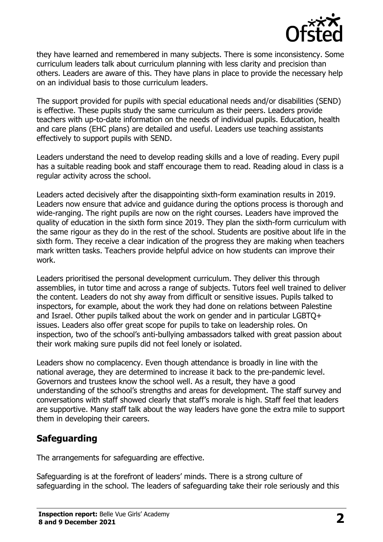

they have learned and remembered in many subjects. There is some inconsistency. Some curriculum leaders talk about curriculum planning with less clarity and precision than others. Leaders are aware of this. They have plans in place to provide the necessary help on an individual basis to those curriculum leaders.

The support provided for pupils with special educational needs and/or disabilities (SEND) is effective. These pupils study the same curriculum as their peers. Leaders provide teachers with up-to-date information on the needs of individual pupils. Education, health and care plans (EHC plans) are detailed and useful. Leaders use teaching assistants effectively to support pupils with SEND.

Leaders understand the need to develop reading skills and a love of reading. Every pupil has a suitable reading book and staff encourage them to read. Reading aloud in class is a regular activity across the school.

Leaders acted decisively after the disappointing sixth-form examination results in 2019. Leaders now ensure that advice and guidance during the options process is thorough and wide-ranging. The right pupils are now on the right courses. Leaders have improved the quality of education in the sixth form since 2019. They plan the sixth-form curriculum with the same rigour as they do in the rest of the school. Students are positive about life in the sixth form. They receive a clear indication of the progress they are making when teachers mark written tasks. Teachers provide helpful advice on how students can improve their work.

Leaders prioritised the personal development curriculum. They deliver this through assemblies, in tutor time and across a range of subjects. Tutors feel well trained to deliver the content. Leaders do not shy away from difficult or sensitive issues. Pupils talked to inspectors, for example, about the work they had done on relations between Palestine and Israel. Other pupils talked about the work on gender and in particular LGBTQ+ issues. Leaders also offer great scope for pupils to take on leadership roles. On inspection, two of the school's anti-bullying ambassadors talked with great passion about their work making sure pupils did not feel lonely or isolated.

Leaders show no complacency. Even though attendance is broadly in line with the national average, they are determined to increase it back to the pre-pandemic level. Governors and trustees know the school well. As a result, they have a good understanding of the school's strengths and areas for development. The staff survey and conversations with staff showed clearly that staff's morale is high. Staff feel that leaders are supportive. Many staff talk about the way leaders have gone the extra mile to support them in developing their careers.

# **Safeguarding**

The arrangements for safeguarding are effective.

Safeguarding is at the forefront of leaders' minds. There is a strong culture of safeguarding in the school. The leaders of safeguarding take their role seriously and this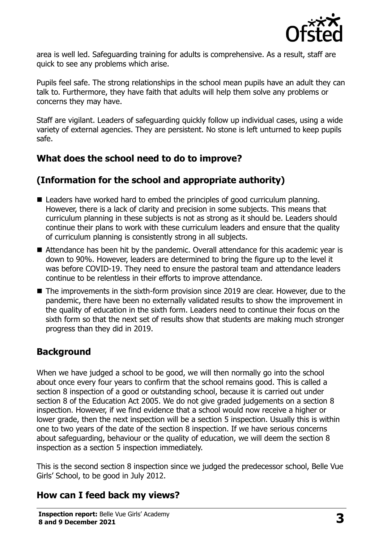

area is well led. Safeguarding training for adults is comprehensive. As a result, staff are quick to see any problems which arise.

Pupils feel safe. The strong relationships in the school mean pupils have an adult they can talk to. Furthermore, they have faith that adults will help them solve any problems or concerns they may have.

Staff are vigilant. Leaders of safeguarding quickly follow up individual cases, using a wide variety of external agencies. They are persistent. No stone is left unturned to keep pupils safe.

# **What does the school need to do to improve?**

# **(Information for the school and appropriate authority)**

- Leaders have worked hard to embed the principles of good curriculum planning. However, there is a lack of clarity and precision in some subjects. This means that curriculum planning in these subjects is not as strong as it should be. Leaders should continue their plans to work with these curriculum leaders and ensure that the quality of curriculum planning is consistently strong in all subjects.
- Attendance has been hit by the pandemic. Overall attendance for this academic year is down to 90%. However, leaders are determined to bring the figure up to the level it was before COVID-19. They need to ensure the pastoral team and attendance leaders continue to be relentless in their efforts to improve attendance.
- The improvements in the sixth-form provision since 2019 are clear. However, due to the pandemic, there have been no externally validated results to show the improvement in the quality of education in the sixth form. Leaders need to continue their focus on the sixth form so that the next set of results show that students are making much stronger progress than they did in 2019.

# **Background**

When we have judged a school to be good, we will then normally go into the school about once every four years to confirm that the school remains good. This is called a section 8 inspection of a good or outstanding school, because it is carried out under section 8 of the Education Act 2005. We do not give graded judgements on a section 8 inspection. However, if we find evidence that a school would now receive a higher or lower grade, then the next inspection will be a section 5 inspection. Usually this is within one to two years of the date of the section 8 inspection. If we have serious concerns about safeguarding, behaviour or the quality of education, we will deem the section 8 inspection as a section 5 inspection immediately.

This is the second section 8 inspection since we judged the predecessor school, Belle Vue Girls' School, to be good in July 2012.

# **How can I feed back my views?**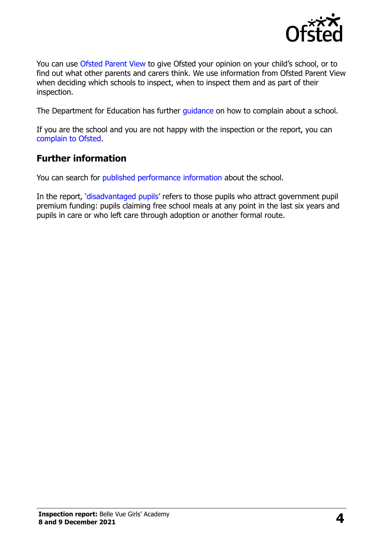

You can use [Ofsted Parent View](https://parentview.ofsted.gov.uk/) to give Ofsted your opinion on your child's school, or to find out what other parents and carers think. We use information from Ofsted Parent View when deciding which schools to inspect, when to inspect them and as part of their inspection.

The Department for Education has further quidance on how to complain about a school.

If you are the school and you are not happy with the inspection or the report, you can [complain to Ofsted.](https://www.gov.uk/complain-ofsted-report)

#### **Further information**

You can search for [published performance information](http://www.compare-school-performance.service.gov.uk/) about the school.

In the report, '[disadvantaged pupils](http://www.gov.uk/guidance/pupil-premium-information-for-schools-and-alternative-provision-settings)' refers to those pupils who attract government pupil premium funding: pupils claiming free school meals at any point in the last six years and pupils in care or who left care through adoption or another formal route.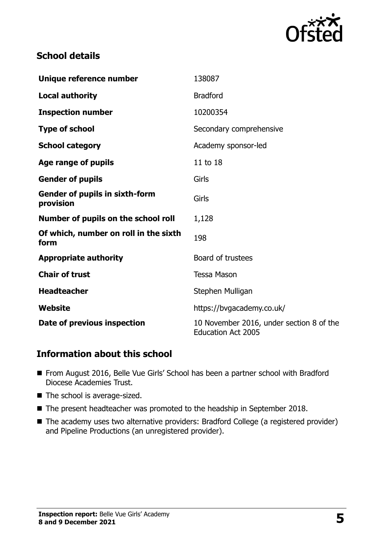

### **School details**

| Unique reference number                            | 138087                                                                |
|----------------------------------------------------|-----------------------------------------------------------------------|
| <b>Local authority</b>                             | <b>Bradford</b>                                                       |
| <b>Inspection number</b>                           | 10200354                                                              |
| <b>Type of school</b>                              | Secondary comprehensive                                               |
| <b>School category</b>                             | Academy sponsor-led                                                   |
| Age range of pupils                                | 11 to 18                                                              |
| <b>Gender of pupils</b>                            | Girls                                                                 |
| <b>Gender of pupils in sixth-form</b><br>provision | Girls                                                                 |
| Number of pupils on the school roll                | 1,128                                                                 |
| Of which, number on roll in the sixth<br>form      | 198                                                                   |
| <b>Appropriate authority</b>                       | Board of trustees                                                     |
| <b>Chair of trust</b>                              | <b>Tessa Mason</b>                                                    |
| <b>Headteacher</b>                                 | Stephen Mulligan                                                      |
| Website                                            | https://bvgacademy.co.uk/                                             |
| Date of previous inspection                        | 10 November 2016, under section 8 of the<br><b>Education Act 2005</b> |

#### **Information about this school**

- From August 2016, Belle Vue Girls' School has been a partner school with Bradford Diocese Academies Trust.
- $\blacksquare$  The school is average-sized.
- The present headteacher was promoted to the headship in September 2018.
- The academy uses two alternative providers: Bradford College (a registered provider) and Pipeline Productions (an unregistered provider).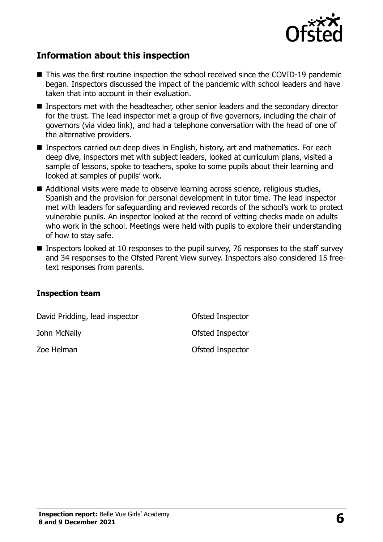

#### **Information about this inspection**

- This was the first routine inspection the school received since the COVID-19 pandemic began. Inspectors discussed the impact of the pandemic with school leaders and have taken that into account in their evaluation.
- **Inspectors met with the headteacher, other senior leaders and the secondary director** for the trust. The lead inspector met a group of five governors, including the chair of governors (via video link), and had a telephone conversation with the head of one of the alternative providers.
- **Inspectors carried out deep dives in English, history, art and mathematics. For each** deep dive, inspectors met with subject leaders, looked at curriculum plans, visited a sample of lessons, spoke to teachers, spoke to some pupils about their learning and looked at samples of pupils' work.
- Additional visits were made to observe learning across science, religious studies, Spanish and the provision for personal development in tutor time. The lead inspector met with leaders for safeguarding and reviewed records of the school's work to protect vulnerable pupils. An inspector looked at the record of vetting checks made on adults who work in the school. Meetings were held with pupils to explore their understanding of how to stay safe.
- **Inspectors looked at 10 responses to the pupil survey, 76 responses to the staff survey** and 34 responses to the Ofsted Parent View survey. Inspectors also considered 15 freetext responses from parents.

#### **Inspection team**

| David Pridding, lead inspector | Ofsted Inspector |
|--------------------------------|------------------|
| John McNally                   | Ofsted Inspector |
| Zoe Helman                     | Ofsted Inspector |